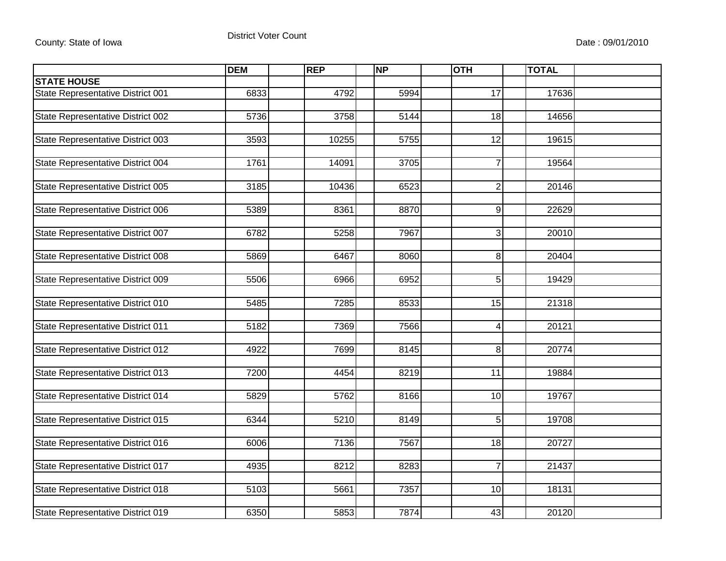|                                          | <b>DEM</b> | <b>REP</b> | <b>NP</b> | <b>OTH</b>      | <b>TOTAL</b> |  |
|------------------------------------------|------------|------------|-----------|-----------------|--------------|--|
| <b>STATE HOUSE</b>                       |            |            |           |                 |              |  |
| State Representative District 001        | 6833       | 4792       | 5994      | 17              | 17636        |  |
|                                          |            |            |           |                 |              |  |
| State Representative District 002        | 5736       | 3758       | 5144      | 18              | 14656        |  |
|                                          |            |            |           |                 |              |  |
| State Representative District 003        | 3593       | 10255      | 5755      | 12              | 19615        |  |
|                                          |            |            |           |                 |              |  |
| State Representative District 004        | 1761       | 14091      | 3705      | 7               | 19564        |  |
|                                          |            |            |           |                 |              |  |
| State Representative District 005        | 3185       | 10436      | 6523      | $\overline{2}$  | 20146        |  |
|                                          |            |            |           |                 |              |  |
| <b>State Representative District 006</b> | 5389       | 8361       | 8870      | $\overline{9}$  | 22629        |  |
|                                          |            |            |           |                 |              |  |
| State Representative District 007        | 6782       | 5258       | 7967      | 3               | 20010        |  |
|                                          |            |            |           |                 |              |  |
| State Representative District 008        | 5869       | 6467       | 8060      | 8               | 20404        |  |
|                                          |            |            |           |                 |              |  |
| State Representative District 009        | 5506       | 6966       | 6952      | 5               | 19429        |  |
|                                          |            |            |           |                 |              |  |
| State Representative District 010        | 5485       | 7285       | 8533      | 15              | 21318        |  |
| State Representative District 011        | 5182       | 7369       | 7566      | 4               | 20121        |  |
|                                          |            |            |           |                 |              |  |
| State Representative District 012        | 4922       | 7699       | 8145      | 8               | 20774        |  |
|                                          |            |            |           |                 |              |  |
| State Representative District 013        | 7200       | 4454       | 8219      | 11              | 19884        |  |
|                                          |            |            |           |                 |              |  |
| State Representative District 014        | 5829       | 5762       | 8166      | 10 <sup>1</sup> | 19767        |  |
|                                          |            |            |           |                 |              |  |
| State Representative District 015        | 6344       | 5210       | 8149      | 5               | 19708        |  |
|                                          |            |            |           |                 |              |  |
| State Representative District 016        | 6006       | 7136       | 7567      | 18              | 20727        |  |
|                                          |            |            |           |                 |              |  |
| State Representative District 017        | 4935       | 8212       | 8283      | $\overline{7}$  | 21437        |  |
|                                          |            |            |           |                 |              |  |
| State Representative District 018        | 5103       | 5661       | 7357      | 10              | 18131        |  |
|                                          |            |            |           |                 |              |  |
| State Representative District 019        | 6350       | 5853       | 7874      | 43              | 20120        |  |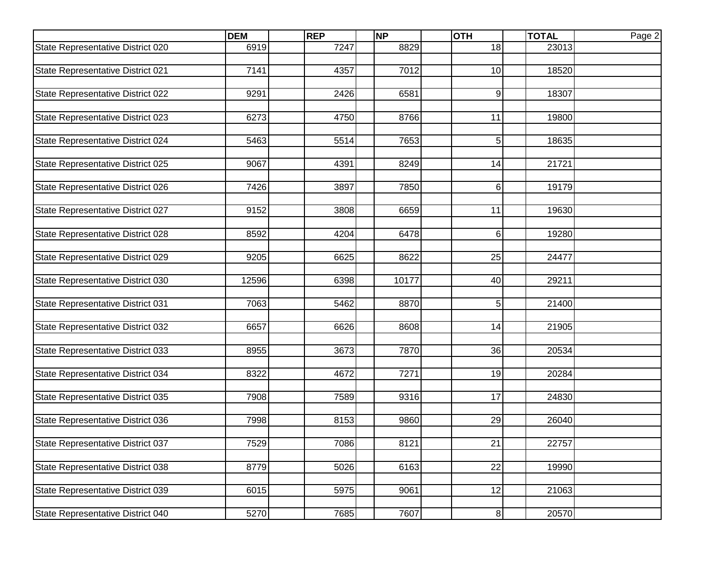|                                   | <b>DEM</b> | <b>REP</b> | <b>NP</b> | <b>OTH</b>     | <b>TOTAL</b> | Page 2 |
|-----------------------------------|------------|------------|-----------|----------------|--------------|--------|
| State Representative District 020 | 6919       | 7247       | 8829      | 18             | 23013        |        |
|                                   |            |            |           |                |              |        |
| State Representative District 021 | 7141       | 4357       | 7012      | 10             | 18520        |        |
|                                   |            |            |           |                |              |        |
| State Representative District 022 | 9291       | 2426       | 6581      | 9              | 18307        |        |
| State Representative District 023 | 6273       | 4750       | 8766      | 11             | 19800        |        |
|                                   |            |            |           |                |              |        |
| State Representative District 024 | 5463       | 5514       | 7653      | 5              | 18635        |        |
|                                   |            |            |           |                |              |        |
| State Representative District 025 | 9067       | 4391       | 8249      | 14             | 21721        |        |
|                                   |            |            |           |                |              |        |
| State Representative District 026 | 7426       | 3897       | 7850      | 6              | 19179        |        |
|                                   |            |            |           |                |              |        |
| State Representative District 027 | 9152       | 3808       | 6659      | 11             | 19630        |        |
|                                   |            |            |           |                |              |        |
| State Representative District 028 | 8592       | 4204       | 6478      | 6              | 19280        |        |
|                                   | 9205       | 6625       | 8622      | 25             | 24477        |        |
| State Representative District 029 |            |            |           |                |              |        |
| State Representative District 030 | 12596      | 6398       | 10177     | 40             | 29211        |        |
|                                   |            |            |           |                |              |        |
| State Representative District 031 | 7063       | 5462       | 8870      | 5              | 21400        |        |
|                                   |            |            |           |                |              |        |
| State Representative District 032 | 6657       | 6626       | 8608      | 14             | 21905        |        |
|                                   |            |            |           |                |              |        |
| State Representative District 033 | 8955       | 3673       | 7870      | 36             | 20534        |        |
|                                   |            |            |           |                |              |        |
| State Representative District 034 | 8322       | 4672       | 7271      | 19             | 20284        |        |
| State Representative District 035 | 7908       | 7589       | 9316      | 17             | 24830        |        |
|                                   |            |            |           |                |              |        |
| State Representative District 036 | 7998       | 8153       | 9860      | 29             | 26040        |        |
|                                   |            |            |           |                |              |        |
| State Representative District 037 | 7529       | 7086       | 8121      | 21             | 22757        |        |
|                                   |            |            |           |                |              |        |
| State Representative District 038 | 8779       | 5026       | 6163      | 22             | 19990        |        |
|                                   |            |            |           |                |              |        |
| State Representative District 039 | 6015       | 5975       | 9061      | 12             | 21063        |        |
|                                   |            |            |           |                |              |        |
| State Representative District 040 | 5270       | 7685       | 7607      | 8 <sup>1</sup> | 20570        |        |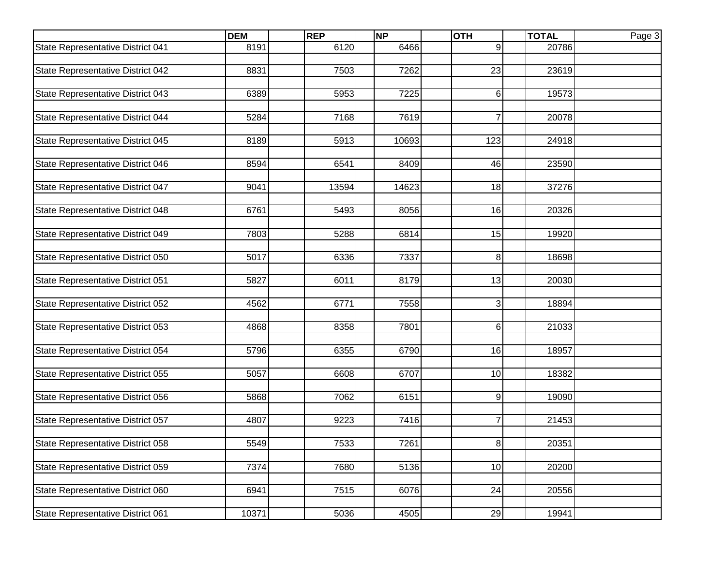|                                   | <b>DEM</b> | <b>REP</b> | <b>NP</b> | <b>OTH</b>     | <b>TOTAL</b> | Page 3 |
|-----------------------------------|------------|------------|-----------|----------------|--------------|--------|
| State Representative District 041 | 8191       | 6120       | 6466      | 9              | 20786        |        |
|                                   |            |            |           |                |              |        |
| State Representative District 042 | 8831       | 7503       | 7262      | 23             | 23619        |        |
|                                   |            |            |           |                |              |        |
| State Representative District 043 | 6389       | 5953       | 7225      | 6              | 19573        |        |
|                                   |            |            |           |                |              |        |
| State Representative District 044 | 5284       | 7168       | 7619      | 7              | 20078        |        |
|                                   |            |            |           |                |              |        |
| State Representative District 045 | 8189       | 5913       | 10693     | 123            | 24918        |        |
| State Representative District 046 | 8594       | 6541       | 8409      | 46             | 23590        |        |
|                                   |            |            |           |                |              |        |
| State Representative District 047 | 9041       | 13594      | 14623     | 18             | 37276        |        |
|                                   |            |            |           |                |              |        |
| State Representative District 048 | 6761       | 5493       | 8056      | 16             | 20326        |        |
|                                   |            |            |           |                |              |        |
| State Representative District 049 | 7803       | 5288       | 6814      | 15             | 19920        |        |
|                                   |            |            |           |                |              |        |
| State Representative District 050 | 5017       | 6336       | 7337      | 8              | 18698        |        |
|                                   |            |            |           |                |              |        |
| State Representative District 051 | 5827       | 6011       | 8179      | 13             | 20030        |        |
|                                   |            |            |           |                |              |        |
| State Representative District 052 | 4562       | 6771       | 7558      | 3              | 18894        |        |
|                                   |            |            |           |                |              |        |
| State Representative District 053 | 4868       | 8358       | 7801      | 6              | 21033        |        |
|                                   |            |            |           |                |              |        |
| State Representative District 054 | 5796       | 6355       | 6790      | 16             | 18957        |        |
|                                   |            |            |           |                |              |        |
| State Representative District 055 | 5057       | 6608       | 6707      | 10             | 18382        |        |
| State Representative District 056 | 5868       | 7062       | 6151      | 9              | 19090        |        |
|                                   |            |            |           |                |              |        |
| State Representative District 057 | 4807       | 9223       | 7416      | 7              | 21453        |        |
|                                   |            |            |           |                |              |        |
| State Representative District 058 | 5549       | 7533       | 7261      | 8 <sup>1</sup> | 20351        |        |
|                                   |            |            |           |                |              |        |
| State Representative District 059 | 7374       | 7680       | 5136      | 10             | 20200        |        |
|                                   |            |            |           |                |              |        |
| State Representative District 060 | 6941       | 7515       | 6076      | 24             | 20556        |        |
|                                   |            |            |           |                |              |        |
| State Representative District 061 | 10371      | 5036       | 4505      | 29             | 19941        |        |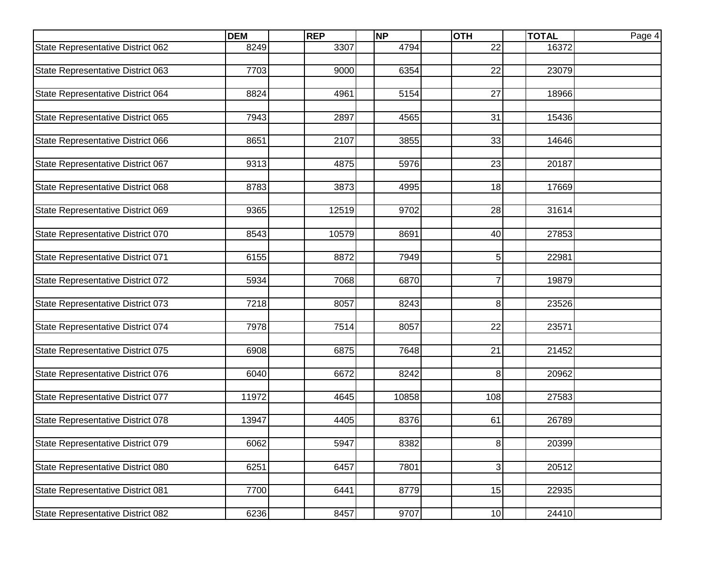|                                   | <b>DEM</b> | <b>REP</b> | <b>NP</b> | <b>OTH</b>     | <b>TOTAL</b> | Page 4 |
|-----------------------------------|------------|------------|-----------|----------------|--------------|--------|
| State Representative District 062 | 8249       | 3307       | 4794      | 22             | 16372        |        |
|                                   |            |            |           |                |              |        |
| State Representative District 063 | 7703       | 9000       | 6354      | 22             | 23079        |        |
|                                   |            |            |           |                |              |        |
| State Representative District 064 | 8824       | 4961       | 5154      | 27             | 18966        |        |
|                                   |            |            |           |                |              |        |
| State Representative District 065 | 7943       | 2897       | 4565      | 31             | 15436        |        |
|                                   |            |            |           |                |              |        |
| State Representative District 066 | 8651       | 2107       | 3855      | 33             | 14646        |        |
| State Representative District 067 | 9313       | 4875       | 5976      | 23             | 20187        |        |
|                                   |            |            |           |                |              |        |
| State Representative District 068 | 8783       | 3873       | 4995      | 18             | 17669        |        |
|                                   |            |            |           |                |              |        |
| State Representative District 069 | 9365       | 12519      | 9702      | 28             | 31614        |        |
|                                   |            |            |           |                |              |        |
| State Representative District 070 | 8543       | 10579      | 8691      | 40             | 27853        |        |
|                                   |            |            |           |                |              |        |
| State Representative District 071 | 6155       | 8872       | 7949      | 5              | 22981        |        |
|                                   |            |            |           |                |              |        |
| State Representative District 072 | 5934       | 7068       | 6870      | 7              | 19879        |        |
|                                   |            |            |           |                |              |        |
| State Representative District 073 | 7218       | 8057       | 8243      | 8              | 23526        |        |
|                                   |            |            |           |                |              |        |
| State Representative District 074 | 7978       | 7514       | 8057      | 22             | 23571        |        |
|                                   |            |            |           |                |              |        |
| State Representative District 075 | 6908       | 6875       | 7648      | 21             | 21452        |        |
|                                   |            |            |           |                |              |        |
| State Representative District 076 | 6040       | 6672       | 8242      | 8              | 20962        |        |
|                                   | 11972      | 4645       | 10858     | 108            | 27583        |        |
| State Representative District 077 |            |            |           |                |              |        |
| State Representative District 078 | 13947      | 4405       | 8376      | 61             | 26789        |        |
|                                   |            |            |           |                |              |        |
| State Representative District 079 | 6062       | 5947       | 8382      | 8 <sup>1</sup> | 20399        |        |
|                                   |            |            |           |                |              |        |
| State Representative District 080 | 6251       | 6457       | 7801      | $\overline{3}$ | 20512        |        |
|                                   |            |            |           |                |              |        |
| State Representative District 081 | 7700       | 6441       | 8779      | 15             | 22935        |        |
|                                   |            |            |           |                |              |        |
| State Representative District 082 | 6236       | 8457       | 9707      | 10             | 24410        |        |